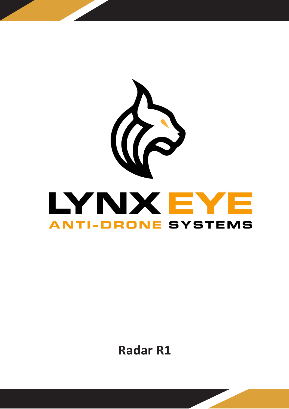

**Radar R1**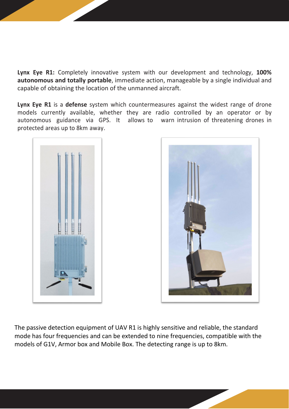**Lynx Eye R1:** Completely innovative system with our development and technology, **100% autonomous and totally portable**, immediate action, manageable by a single individual and capable of obtaining the location of the unmanned aircraft.

**Lynx Eye R1** is a **defense** system which countermeasures against the widest range of drone models currently available, whether they are radio controlled by an operator or by autonomous guidance via GPS. It allows to warn intrusion of threatening drones in protected areas up to 8km away.





The passive detection equipment of UAV R1 is highly sensitive and reliable, the standard mode has four frequencies and can be extended to nine frequencies, compatible with the models of G1V, Armor box and Mobile Box. The detecting range is up to 8km.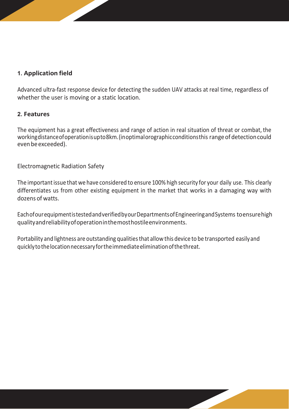## **1. Application field**

Advanced ultra-fast response device for detecting the sudden UAV attacks at real time, regardless of whether the user is moving or a static location.

## **2. Features**

The equipment has a great effectiveness and range of action in real situation of threat or combat, the working distance of operation is up to 8km. (in optimal or ographic conditions this range of detection could even be exceeded).

Electromagnetic Radiation Safety

The important issue that we have considered to ensure 100% high security for your daily use. This clearly differentiates us from other existing equipment in the market that works in a damaging way with dozens of watts.

EachofourequipmentistestedandverifiedbyourDepartmentsofEngineeringandSystems toensurehigh qualityandreliabilityofoperationinthemosthostileenvironments.

Portability and lightness are outstanding qualities that allow this device to be transported easily and quicklytothelocationnecessaryfortheimmediateeliminationofthethreat.